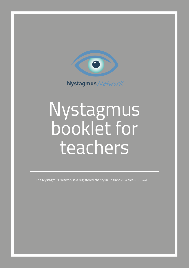

**NystagmusNetwork**

## Nystagmus booklet for teachers

The Nystagmus Network is a registered charity in England & Wales - 803440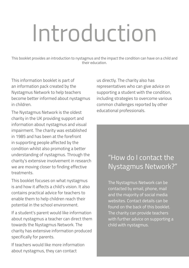# Introduction

This booklet provides an introduction to nystagmus and the impact the condition can have on a child and their education.

This information booklet is part of an information pack created by the Nystagmus Network to help teachers become better informed about nystagmus in children.

The Nystagmus Network is the oldest charity in the UK providing support and information about nystagmus and visual impairment. The charity was established in 1985 and has been at the forefront in supporting people affected by the condition whilst also promoting a better understanding of nystagmus. Through the charity's extensive involvement in research we are moving closer to finding effective treatments.

This booklet focuses on what nystagmus is and how it affects a child's vision. It also contains practical advice for teachers to enable them to help children reach their potential in the school environment.

If a student's parent would like information about nystagmus a teacher can direct them towards the Nystagmus Network. The charity has extensive information produced specifically for parents.

If teachers would like more information about nystagmus, they can contact

us directly. The charity also has representatives who can give advice on supporting a student with the condition, including strategies to overcome various common challenges reported by other educational professionals.

#### "How do I contact the Nystagmus Network?"

The Nystagmus Network can be contacted by email, phone, mail and the majority of social media websites. Contact details can be found on the back of this booklet. The charity can provide teachers with further advice on supporting a child with nystagmus.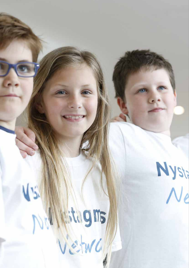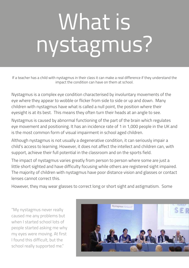# What is nystagmus?

If a teacher has a child with nystagmus in their class it can make a real difference if they understand the impact the condition can have on them at school.

Nystagmus is a complex eye condition characterised by involuntary movements of the eye where they appear to wobble or flicker from side to side or up and down. Many children with nystagmus have what is called a null point, the position where their eyesight is at its best. This means they often turn their heads at an angle to see.

Nystagmus is caused by abnormal functioning of the part of the brain which regulates eye movement and positioning. It has an incidence rate of 1 in 1,000 people in the UK and is the most common form of visual impairment in school aged children.

Although nystagmus is not usually a degenerative condition, it can seriously impair a child's access to learning. However, it does not affect the intellect and children can, with support, achieve their full potential in the classroom and on the sports field.

The impact of nystagmus varies greatly from person to person where some are just a little short sighted and have difficulty focusing while others are registered sight impaired. The majority of children with nystagmus have poor distance vision and glasses or contact lenses cannot correct this.

However, they may wear glasses to correct long or short sight and astigmatism. Some

"My nystagmus never really caused me any problems but when I started school lots of people started asking me why my eyes were moving. At first I found this difficult, but the school really supported me."

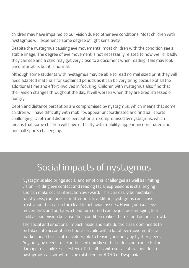children may have impaired colour vision due to other eye conditions. Most children with nystagmus will experience some degree of light sensitivity.

Despite the nystagmus causing eye movements, most children with the condition see a stable image. The degree of eye movement is not necessarily related to how well or badly they can see and a child may get very close to a document when reading. This may look uncomfortable, but it is normal.

Although some students with nystagmus may be able to read normal sized print they will need adapted materials for sustained periods as it can be very tiring because of all the additional time and effort involved in focusing. Children with nystagmus also find that their vision changes throughout the day. It will worsen when they are tired, stressed or hungry.

Depth and distance perception are compromised by nystagmus, which means that some children will have difficulty with mobility, appear uncoordinated and find ball sports challenging. Depth and distance perception are compromised by nystagmus, which means that some children will have difficulty with mobility, appear uncoordinated and find ball sports challenging.

#### Social impacts of nystagmus

Nystagmus also brings social and emotional challenges as well as limiting vision. Holding eye contact and reading facial expressions is challenging and can make social interaction awkward. This can easily be mistaken for shyness, rudeness or inattention. In addition, nystagmus can cause frustration that can in turn lead to behaviour issues. Having unusual eye movements and perhaps a head turn or nod can be just as damaging to a child as poor vision because their condition makes them stand out in a crowd.

The social and emotional impact inside and outside the classroom needs to be taken into account at school as a child with a lot of eye movement or a marked head turn is often vulnerable to teasing and bullying by their peers. Any bullying needs to be addressed quickly so that it does not cause further damage to a child's self-esteem. Difficulties with social interaction due to nystagmus can sometimes be mistaken for ADHD or Dyspraxia.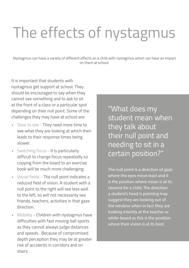### The effects of nystagmus

Nystagmus can have a variety of different effects on a child with nystagmus which can have an impact on them at school.

It is important that students with nystagmus get support at school. They should be encouraged to say when they cannot see something and to ask to sit at the front of a class or a particular spot depending on their null point. Some of the challenges they may have at school are:

- Slow to see They need more time to see what they are looking at which then leads to their response times being slower.
- Switching focus It is particularly difficult to change focus repeatedly so copying from the board to an exercise book will be much more challenging.
- Visual fields The null point indicates a reduced field of vision. A student with a null point to the right will see less well to the left, so will not necessarily see friends, teachers, activities in that gaze direction.
- Mobility Children with nystagmus have difficulties with fast moving ball sports as they cannot always judge distances and speeds. Because of compromised depth perception they may be at greater risk of accidents in corridors and on stairs.

"What does my student mean when they talk about their null point and needing to sit in a certain position?"

The null point is a direction of gaze where the eyes move least and it is the position where vision is at its clearest for a child. The direction a student's head is pointing may suggest they are looking out of the window when in fact they are looking intently at the teacher or white-board as this is the position where their vision is at its best.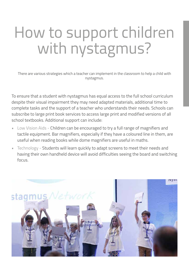### How to support children with nystagmus?

There are various strategies which a teacher can implement in the classroom to help a child with nystagmus.

To ensure that a student with nystagmus has equal access to the full school curriculum despite their visual impairment they may need adapted materials, additional time to complete tasks and the support of a teacher who understands their needs. Schools can subscribe to large print book services to access large print and modified versions of all school textbooks. Additional support can include:

- Low Vision Aids Children can be encouraged to try a full range of magnifiers and tactile equipment. Bar magnifiers, especially if they have a coloured line in them, are useful when reading books while dome magnifiers are useful in maths.
- Technology Students will learn quickly to adapt screens to meet their needs and having their own handheld device will avoid difficulties seeing the board and switching focus.

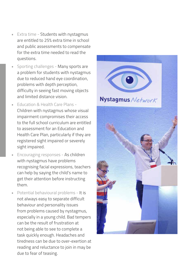- Extra time Students with nystagmus are entitled to 25% extra time in school and public assessments to compensate for the extra time needed to read the questions.
- Sporting challenges Many sports are a problem for students with nystagmus due to reduced hand eye coordination, problems with depth perception, difficulty in seeing fast moving objects and limited distance vision.
- Education & Health Care Plans Children with nystagmus whose visual impairment compromises their access to the full school curriculum are entitled to assessment for an Education and Health Care Plan, particularly if they are registered sight impaired or severely sight impaired.
- Encouraging responses As children with nystagmus have problems recognising facial expressions, teachers can help by saying the child's name to get their attention before instructing them.
- Potential behavioural problems It is not always easy to separate difficult behaviour and personality issues from problems caused by nystagmus, especially in a young child. Bad tempers can be the result of frustration at not being able to see to complete a task quickly enough. Headaches and tiredness can be due to over-exertion at reading and reluctance to join in may be due to fear of teasing.

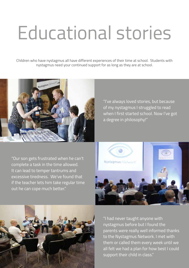## Educational stories

Children who have nystagmus all have different experiences of their time at school. Students with nystagmus need your continued support for as long as they are at school.



"I've always loved stories, but because of my nystagmus I struggled to read when I first started school. Now I've got a degree in philosophy!"

"Our son gets frustrated when he can't complete a task in the time allowed. It can lead to temper tantrums and excessive tiredness. We've found that if the teacher lets him take regular time out he can cope much better."





"I had never taught anyone with nystagmus before but I found the parents were really well informed thanks to the Nystagmus Network. I met with them or called them every week until we all felt we had a plan for how best I could support their child in class."